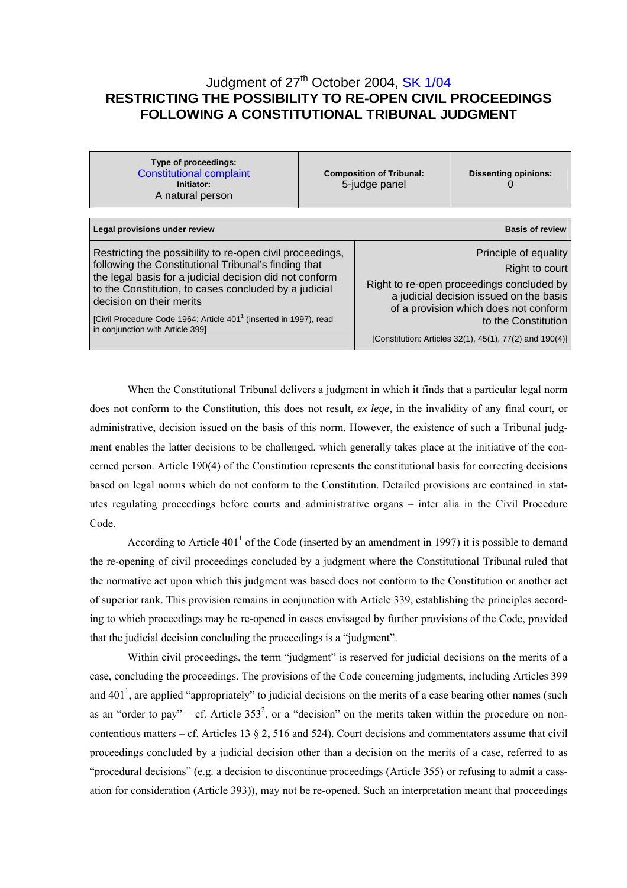# Judgment of 27<sup>th</sup> October 2004, [SK 1/04](http://www.trybunal.gov.pl/OTK/otk_odp.asp?sygnatura=SK%201/04) **RESTRICTING THE POSSIBILITY TO RE-OPEN CIVIL PROCEEDINGS FOLLOWING A CONSTITUTIONAL TRIBUNAL JUDGMENT**

| Type of proceedings:<br><b>Constitutional complaint</b><br>Initiator:<br>A natural person                                                                                                                                                                                                                                                                                              | <b>Composition of Tribunal:</b><br>5-judge panel |                                                                                                                                                                                                 | <b>Dissenting opinions:</b>                             |  |
|----------------------------------------------------------------------------------------------------------------------------------------------------------------------------------------------------------------------------------------------------------------------------------------------------------------------------------------------------------------------------------------|--------------------------------------------------|-------------------------------------------------------------------------------------------------------------------------------------------------------------------------------------------------|---------------------------------------------------------|--|
| Legal provisions under review                                                                                                                                                                                                                                                                                                                                                          |                                                  |                                                                                                                                                                                                 | <b>Basis of review</b>                                  |  |
| Restricting the possibility to re-open civil proceedings,<br>following the Constitutional Tribunal's finding that<br>the legal basis for a judicial decision did not conform<br>to the Constitution, to cases concluded by a judicial<br>decision on their merits<br>[Civil Procedure Code 1964: Article 401 <sup>1</sup> (inserted in 1997), read<br>in conjunction with Article 3991 |                                                  | Principle of equality<br>Right to court<br>Right to re-open proceedings concluded by<br>a judicial decision issued on the basis<br>of a provision which does not conform<br>to the Constitution |                                                         |  |
|                                                                                                                                                                                                                                                                                                                                                                                        |                                                  |                                                                                                                                                                                                 | [Constitution: Articles 32(1), 45(1), 77(2) and 190(4)] |  |

When the Constitutional Tribunal delivers a judgment in which it finds that a particular legal norm does not conform to the Constitution, this does not result, *ex lege*, in the invalidity of any final court, or administrative, decision issued on the basis of this norm. However, the existence of such a Tribunal judgment enables the latter decisions to be challenged, which generally takes place at the initiative of the concerned person. Article 190(4) of the Constitution represents the constitutional basis for correcting decisions based on legal norms which do not conform to the Constitution. Detailed provisions are contained in statutes regulating proceedings before courts and administrative organs – inter alia in the Civil Procedure Code.

According to Article  $401<sup>1</sup>$  of the Code (inserted by an amendment in 1997) it is possible to demand the re-opening of civil proceedings concluded by a judgment where the Constitutional Tribunal ruled that the normative act upon which this judgment was based does not conform to the Constitution or another act of superior rank. This provision remains in conjunction with Article 339, establishing the principles according to which proceedings may be re-opened in cases envisaged by further provisions of the Code, provided that the judicial decision concluding the proceedings is a "judgment".

Within civil proceedings, the term "judgment" is reserved for judicial decisions on the merits of a case, concluding the proceedings. The provisions of the Code concerning judgments, including Articles 399 and 401<sup>1</sup>, are applied "appropriately" to judicial decisions on the merits of a case bearing other names (such as an "order to pay" – cf. Article  $353^2$ , or a "decision" on the merits taken within the procedure on noncontentious matters – cf. Articles 13  $\S 2$ , 516 and 524). Court decisions and commentators assume that civil proceedings concluded by a judicial decision other than a decision on the merits of a case, referred to as "procedural decisions" (e.g. a decision to discontinue proceedings (Article 355) or refusing to admit a cassation for consideration (Article 393)), may not be re-opened. Such an interpretation meant that proceedings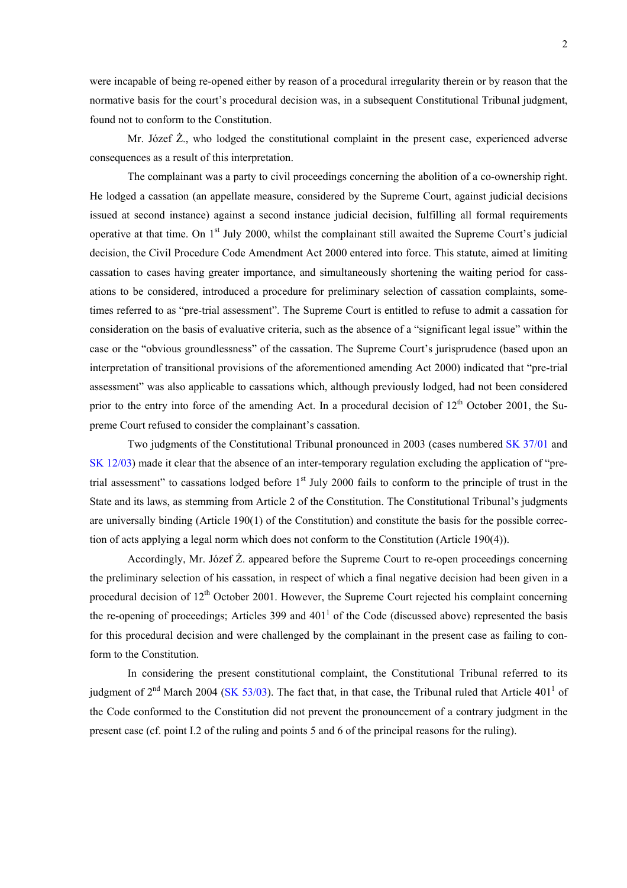were incapable of being re-opened either by reason of a procedural irregularity therein or by reason that the normative basis for the court's procedural decision was, in a subsequent Constitutional Tribunal judgment, found not to conform to the Constitution.

Mr. Józef Ż., who lodged the constitutional complaint in the present case, experienced adverse consequences as a result of this interpretation.

The complainant was a party to civil proceedings concerning the abolition of a co-ownership right. He lodged a cassation (an appellate measure, considered by the Supreme Court, against judicial decisions issued at second instance) against a second instance judicial decision, fulfilling all formal requirements operative at that time. On 1<sup>st</sup> July 2000, whilst the complainant still awaited the Supreme Court's judicial decision, the Civil Procedure Code Amendment Act 2000 entered into force. This statute, aimed at limiting cassation to cases having greater importance, and simultaneously shortening the waiting period for cassations to be considered, introduced a procedure for preliminary selection of cassation complaints, sometimes referred to as "pre-trial assessment". The Supreme Court is entitled to refuse to admit a cassation for consideration on the basis of evaluative criteria, such as the absence of a "significant legal issue" within the case or the "obvious groundlessness" of the cassation. The Supreme Court's jurisprudence (based upon an interpretation of transitional provisions of the aforementioned amending Act 2000) indicated that "pre-trial assessment" was also applicable to cassations which, although previously lodged, had not been considered prior to the entry into force of the amending Act. In a procedural decision of  $12<sup>th</sup>$  October 2001, the Supreme Court refused to consider the complainant's cassation.

Two judgments of the Constitutional Tribunal pronounced in 2003 (cases numbered [SK 37/01](http://www.trybunal.gov.pl/OTK/otk_odp.asp?sygnatura=SK%2037/01) and [SK 12/03](http://www.trybunal.gov.pl/OTK/otk_odp.asp?sygnatura=SK%2012/03)) made it clear that the absence of an inter-temporary regulation excluding the application of "pretrial assessment" to cassations lodged before  $1<sup>st</sup>$  July 2000 fails to conform to the principle of trust in the State and its laws, as stemming from Article 2 of the Constitution. The Constitutional Tribunal's judgments are universally binding (Article 190(1) of the Constitution) and constitute the basis for the possible correction of acts applying a legal norm which does not conform to the Constitution (Article 190(4)).

Accordingly, Mr. Józef Ż. appeared before the Supreme Court to re-open proceedings concerning the preliminary selection of his cassation, in respect of which a final negative decision had been given in a procedural decision of  $12<sup>th</sup>$  October 2001. However, the Supreme Court rejected his complaint concerning the re-opening of proceedings; Articles 399 and  $401<sup>1</sup>$  of the Code (discussed above) represented the basis for this procedural decision and were challenged by the complainant in the present case as failing to conform to the Constitution.

In considering the present constitutional complaint, the Constitutional Tribunal referred to its judgment of  $2^{nd}$  March 2004 [\(SK 53/03\)](http://www.trybunal.gov.pl/OTK/otk_odp.asp?sygnatura=SK%2053/03). The fact that, in that case, the Tribunal ruled that Article 401<sup>1</sup> of the Code conformed to the Constitution did not prevent the pronouncement of a contrary judgment in the present case (cf. point I.2 of the ruling and points 5 and 6 of the principal reasons for the ruling).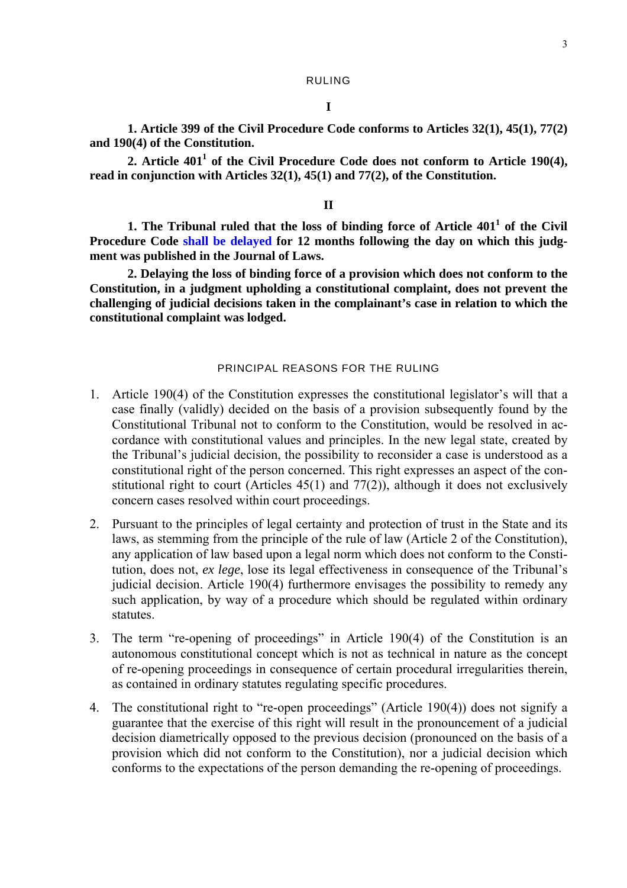# **I**

**1. Article 399 of the Civil Procedure Code conforms to Articles 32(1), 45(1), 77(2) and 190(4) of the Constitution.** 

2. Article 401<sup>1</sup> of the Civil Procedure Code does not conform to Article 190(4), **read in conjunction with Articles 32(1), 45(1) and 77(2), of the Constitution.** 

### **II**

1. The Tribunal ruled that the loss of binding force of Article 401<sup>1</sup> of the Civil **Procedure Code [shall be delayed](http://www.trybunal.gov.pl/eng/summaries/summaries_assets/przypis_moc_gb.htm) for 12 months following the day on which this judgment was published in the Journal of Laws.** 

**2. Delaying the loss of binding force of a provision which does not conform to the Constitution, in a judgment upholding a constitutional complaint, does not prevent the challenging of judicial decisions taken in the complainant's case in relation to which the constitutional complaint was lodged.** 

## PRINCIPAL REASONS FOR THE RULING

- 1. Article 190(4) of the Constitution expresses the constitutional legislator's will that a case finally (validly) decided on the basis of a provision subsequently found by the Constitutional Tribunal not to conform to the Constitution, would be resolved in accordance with constitutional values and principles. In the new legal state, created by the Tribunal's judicial decision, the possibility to reconsider a case is understood as a constitutional right of the person concerned. This right expresses an aspect of the constitutional right to court (Articles  $45(1)$  and  $77(2)$ ), although it does not exclusively concern cases resolved within court proceedings.
- 2. Pursuant to the principles of legal certainty and protection of trust in the State and its laws, as stemming from the principle of the rule of law (Article 2 of the Constitution), any application of law based upon a legal norm which does not conform to the Constitution, does not, *ex lege*, lose its legal effectiveness in consequence of the Tribunal's judicial decision. Article 190(4) furthermore envisages the possibility to remedy any such application, by way of a procedure which should be regulated within ordinary statutes.
- 3. The term "re-opening of proceedings" in Article 190(4) of the Constitution is an autonomous constitutional concept which is not as technical in nature as the concept of re-opening proceedings in consequence of certain procedural irregularities therein, as contained in ordinary statutes regulating specific procedures.
- 4. The constitutional right to "re-open proceedings" (Article 190(4)) does not signify a guarantee that the exercise of this right will result in the pronouncement of a judicial decision diametrically opposed to the previous decision (pronounced on the basis of a provision which did not conform to the Constitution), nor a judicial decision which conforms to the expectations of the person demanding the re-opening of proceedings.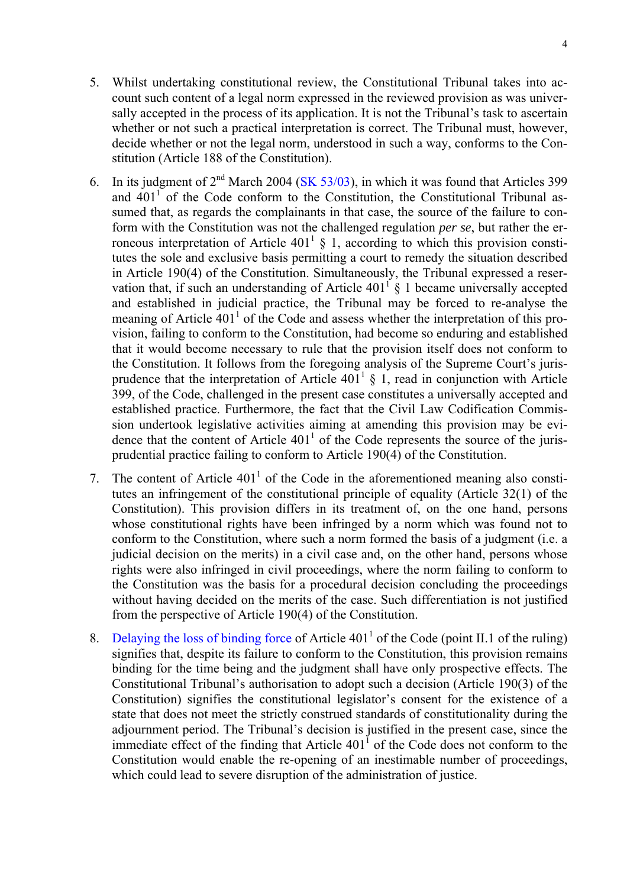- 5. Whilst undertaking constitutional review, the Constitutional Tribunal takes into account such content of a legal norm expressed in the reviewed provision as was universally accepted in the process of its application. It is not the Tribunal's task to ascertain whether or not such a practical interpretation is correct. The Tribunal must, however, decide whether or not the legal norm, understood in such a way, conforms to the Constitution (Article 188 of the Constitution).
- 6. In its judgment of  $2^{nd}$  March 2004 ([SK 53/03\)](http://www.trybunal.gov.pl/OTK/otk_odp.asp?sygnatura=SK%2053/03), in which it was found that Articles 399 and  $401<sup>1</sup>$  of the Code conform to the Constitution, the Constitutional Tribunal assumed that, as regards the complainants in that case, the source of the failure to conform with the Constitution was not the challenged regulation *per se*, but rather the erroneous interpretation of Article  $401<sup>1</sup> \S 1$ , according to which this provision constitutes the sole and exclusive basis permitting a court to remedy the situation described in Article 190(4) of the Constitution. Simultaneously, the Tribunal expressed a reservation that, if such an understanding of Article  $401^{\frac{1}{3}}$  S 1 became universally accepted and established in judicial practice, the Tribunal may be forced to re-analyse the meaning of Article  $401<sup>1</sup>$  of the Code and assess whether the interpretation of this provision, failing to conform to the Constitution, had become so enduring and established that it would become necessary to rule that the provision itself does not conform to the Constitution. It follows from the foregoing analysis of the Supreme Court's jurisprudence that the interpretation of Article  $401^1$  § 1, read in conjunction with Article 399, of the Code, challenged in the present case constitutes a universally accepted and established practice. Furthermore, the fact that the Civil Law Codification Commission undertook legislative activities aiming at amending this provision may be evidence that the content of Article  $401<sup>1</sup>$  of the Code represents the source of the jurisprudential practice failing to conform to Article 190(4) of the Constitution.
- 7. The content of Article  $401<sup>1</sup>$  of the Code in the aforementioned meaning also constitutes an infringement of the constitutional principle of equality (Article 32(1) of the Constitution). This provision differs in its treatment of, on the one hand, persons whose constitutional rights have been infringed by a norm which was found not to conform to the Constitution, where such a norm formed the basis of a judgment (i.e. a judicial decision on the merits) in a civil case and, on the other hand, persons whose rights were also infringed in civil proceedings, where the norm failing to conform to the Constitution was the basis for a procedural decision concluding the proceedings without having decided on the merits of the case. Such differentiation is not justified from the perspective of Article 190(4) of the Constitution.
- 8. [Delaying the loss of binding force](http://www.trybunal.gov.pl/eng/summaries/summaries_assets/przypis_moc_gb.htm) of Article  $401<sup>1</sup>$  of the Code (point II.1 of the ruling) signifies that, despite its failure to conform to the Constitution, this provision remains binding for the time being and the judgment shall have only prospective effects. The Constitutional Tribunal's authorisation to adopt such a decision (Article 190(3) of the Constitution) signifies the constitutional legislator's consent for the existence of a state that does not meet the strictly construed standards of constitutionality during the adjournment period. The Tribunal's decision is justified in the present case, since the immediate effect of the finding that Article  $401<sup>1</sup>$  of the Code does not conform to the Constitution would enable the re-opening of an inestimable number of proceedings, which could lead to severe disruption of the administration of justice.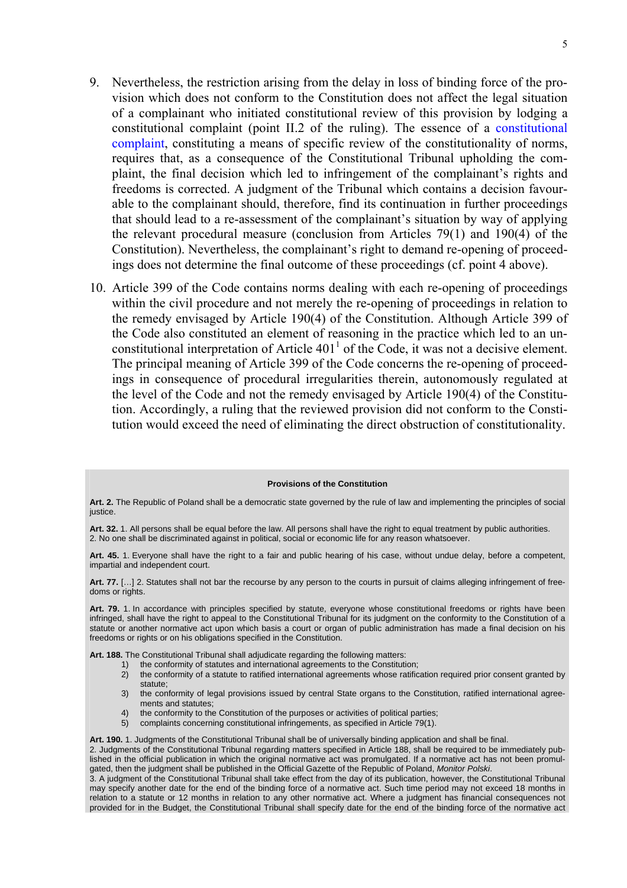- 9. Nevertheless, the restriction arising from the delay in loss of binding force of the provision which does not conform to the Constitution does not affect the legal situation of a complainant who initiated constitutional review of this provision by lodging a constitutional complaint (point II.2 of the ruling). The essence of a [constitutional](http://www.trybunal.gov.pl/eng/summaries/summaries_assets/slowniczek_gb.htm)  [complaint](http://www.trybunal.gov.pl/eng/summaries/summaries_assets/slowniczek_gb.htm), constituting a means of specific review of the constitutionality of norms, requires that, as a consequence of the Constitutional Tribunal upholding the complaint, the final decision which led to infringement of the complainant's rights and freedoms is corrected. A judgment of the Tribunal which contains a decision favourable to the complainant should, therefore, find its continuation in further proceedings that should lead to a re-assessment of the complainant's situation by way of applying the relevant procedural measure (conclusion from Articles 79(1) and 190(4) of the Constitution). Nevertheless, the complainant's right to demand re-opening of proceedings does not determine the final outcome of these proceedings (cf. point 4 above).
- 10. Article 399 of the Code contains norms dealing with each re-opening of proceedings within the civil procedure and not merely the re-opening of proceedings in relation to the remedy envisaged by Article 190(4) of the Constitution. Although Article 399 of the Code also constituted an element of reasoning in the practice which led to an unconstitutional interpretation of Article  $401<sup>1</sup>$  of the Code, it was not a decisive element. The principal meaning of Article 399 of the Code concerns the re-opening of proceedings in consequence of procedural irregularities therein, autonomously regulated at the level of the Code and not the remedy envisaged by Article 190(4) of the Constitution. Accordingly, a ruling that the reviewed provision did not conform to the Constitution would exceed the need of eliminating the direct obstruction of constitutionality.

#### **Provisions of the Constitution**

**Art. 2.** The Republic of Poland shall be a democratic state governed by the rule of law and implementing the principles of social justice.

**Art. 32.** 1. All persons shall be equal before the law. All persons shall have the right to equal treatment by public authorities. 2. No one shall be discriminated against in political, social or economic life for any reason whatsoever.

**Art. 45.** 1. Everyone shall have the right to a fair and public hearing of his case, without undue delay, before a competent, impartial and independent court.

**Art. 77.** […] 2. Statutes shall not bar the recourse by any person to the courts in pursuit of claims alleging infringement of freedoms or rights.

**Art. 79.** 1. In accordance with principles specified by statute, everyone whose constitutional freedoms or rights have been infringed, shall have the right to appeal to the Constitutional Tribunal for its judgment on the conformity to the Constitution of a statute or another normative act upon which basis a court or organ of public administration has made a final decision on his freedoms or rights or on his obligations specified in the Constitution.

**Art. 188.** The Constitutional Tribunal shall adjudicate regarding the following matters:

- 
- 1) the conformity of statutes and international agreements to the Constitution;<br>2) the conformity of a statute to ratified international agreements whose ratific 2) the conformity of a statute to ratified international agreements whose ratification required prior consent granted by statute;
- 3) the conformity of legal provisions issued by central State organs to the Constitution, ratified international agreements and statutes;
- 4) the conformity to the Constitution of the purposes or activities of political parties;<br>5) complaints concerning constitutional infringements, as specified in Article 79(1).
- 5) complaints concerning constitutional infringements, as specified in Article 79(1).

**Art. 190.** 1. Judgments of the Constitutional Tribunal shall be of universally binding application and shall be final.

2. Judgments of the Constitutional Tribunal regarding matters specified in Article 188, shall be required to be immediately published in the official publication in which the original normative act was promulgated. If a normative act has not been promulgated, then the judgment shall be published in the Official Gazette of the Republic of Poland, *Monitor Polski*.

3. A judgment of the Constitutional Tribunal shall take effect from the day of its publication, however, the Constitutional Tribunal may specify another date for the end of the binding force of a normative act. Such time period may not exceed 18 months in relation to a statute or 12 months in relation to any other normative act. Where a judgment has financial consequences not provided for in the Budget, the Constitutional Tribunal shall specify date for the end of the binding force of the normative act